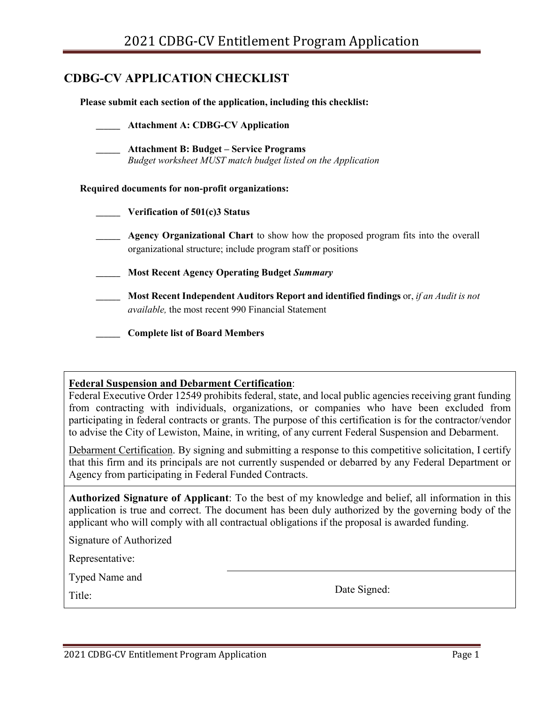## **CDBG-CV APPLICATION CHECKLIST**

**Please submit each section of the application, including this checklist:**

|                                                         | <b>Attachment A: CDBG-CV Application</b>                                                                                                             |  |  |  |
|---------------------------------------------------------|------------------------------------------------------------------------------------------------------------------------------------------------------|--|--|--|
|                                                         | <b>Attachment B: Budget – Service Programs</b><br>Budget worksheet MUST match budget listed on the Application                                       |  |  |  |
| <b>Required documents for non-profit organizations:</b> |                                                                                                                                                      |  |  |  |
|                                                         | Verification of 501(c)3 Status                                                                                                                       |  |  |  |
|                                                         | Agency Organizational Chart to show how the proposed program fits into the overall<br>organizational structure; include program staff or positions   |  |  |  |
|                                                         | <b>Most Recent Agency Operating Budget Summary</b>                                                                                                   |  |  |  |
|                                                         | Most Recent Independent Auditors Report and identified findings or, if an Audit is not<br><i>available</i> , the most recent 990 Financial Statement |  |  |  |
|                                                         | <b>Complete list of Board Members</b>                                                                                                                |  |  |  |

### **Federal Suspension and Debarment Certification**:

Federal Executive Order 12549 prohibits federal, state, and local public agencies receiving grant funding from contracting with individuals, organizations, or companies who have been excluded from participating in federal contracts or grants. The purpose of this certification is for the contractor/vendor to advise the City of Lewiston, Maine, in writing, of any current Federal Suspension and Debarment.

Debarment Certification. By signing and submitting a response to this competitive solicitation, I certify that this firm and its principals are not currently suspended or debarred by any Federal Department or Agency from participating in Federal Funded Contracts.

**Authorized Signature of Applicant**: To the best of my knowledge and belief, all information in this application is true and correct. The document has been duly authorized by the governing body of the applicant who will comply with all contractual obligations if the proposal is awarded funding.

Signature of Authorized

Representative:

Typed Name and

Title: Date Signed: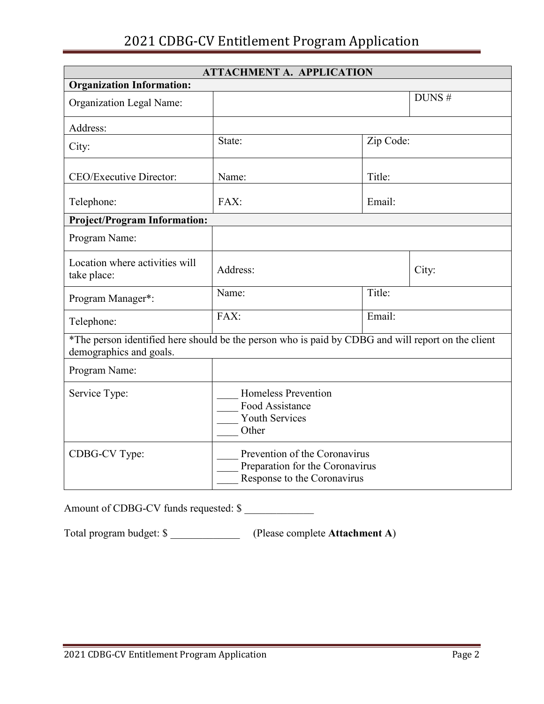# 2021 CDBG-CV Entitlement Program Application

| <b>ATTACHMENT A. APPLICATION</b>                                                                                              |                                                                                 |        |       |  |  |  |
|-------------------------------------------------------------------------------------------------------------------------------|---------------------------------------------------------------------------------|--------|-------|--|--|--|
| <b>Organization Information:</b>                                                                                              |                                                                                 |        |       |  |  |  |
| Organization Legal Name:                                                                                                      |                                                                                 |        | DUNS# |  |  |  |
| Address:                                                                                                                      |                                                                                 |        |       |  |  |  |
| City:                                                                                                                         | Zip Code:<br>State:                                                             |        |       |  |  |  |
| CEO/Executive Director:                                                                                                       | Title:<br>Name:                                                                 |        |       |  |  |  |
| Telephone:                                                                                                                    | FAX:<br>Email:                                                                  |        |       |  |  |  |
| <b>Project/Program Information:</b>                                                                                           |                                                                                 |        |       |  |  |  |
| Program Name:                                                                                                                 |                                                                                 |        |       |  |  |  |
| Location where activities will<br>take place:                                                                                 | Address:                                                                        |        | City: |  |  |  |
| Program Manager*:                                                                                                             | Name:                                                                           | Title: |       |  |  |  |
| Telephone:                                                                                                                    | FAX:                                                                            | Email: |       |  |  |  |
| *The person identified here should be the person who is paid by CDBG and will report on the client<br>demographics and goals. |                                                                                 |        |       |  |  |  |
| Program Name:                                                                                                                 |                                                                                 |        |       |  |  |  |
| Service Type:                                                                                                                 | <b>Homeless Prevention</b><br>Food Assistance<br><b>Youth Services</b><br>Other |        |       |  |  |  |
| Prevention of the Coronavirus<br>CDBG-CV Type:<br>Preparation for the Coronavirus<br>Response to the Coronavirus              |                                                                                 |        |       |  |  |  |

Amount of CDBG-CV funds requested: \$

Total program budget: \$ \_\_\_\_\_\_\_\_\_\_\_\_\_ (Please complete **Attachment A**)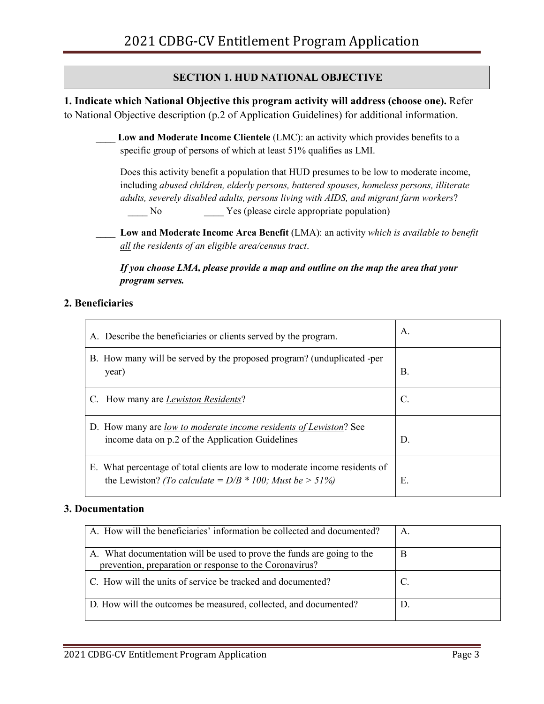## **SECTION 1. HUD NATIONAL OBJECTIVE**

**1. Indicate which National Objective this program activity will address (choose one).** Refer to National Objective description (p.2 of Application Guidelines) for additional information.

- Low and Moderate Income Clientele (LMC): an activity which provides benefits to a specific group of persons of which at least 51% qualifies as LMI.
	- Does this activity benefit a population that HUD presumes to be low to moderate income, including *abused children, elderly persons, battered spouses, homeless persons, illiterate adults, severely disabled adults, persons living with AIDS, and migrant farm workers*? No Yes (please circle appropriate population)
- **\_\_\_\_ Low and Moderate Income Area Benefit** (LMA): an activity *which is available to benefit all the residents of an eligible area/census tract*.

*If you choose LMA, please provide a map and outline on the map the area that your program serves.* 

### **2. Beneficiaries**

| A. Describe the beneficiaries or clients served by the program.                                                                           | A. |
|-------------------------------------------------------------------------------------------------------------------------------------------|----|
| B. How many will be served by the proposed program? (unduplicated -per<br>year)                                                           | В. |
| C. How many are <i>Lewiston Residents</i> ?                                                                                               | C. |
| D. How many are <u>low to moderate income residents of Lewiston</u> ? See<br>income data on p.2 of the Application Guidelines             | D. |
| E. What percentage of total clients are low to moderate income residents of<br>the Lewiston? (To calculate = $D/B * 100$ ; Must be > 51%) | Е. |

#### **3. Documentation**

| A. How will the beneficiaries' information be collected and documented?                                                           |   |
|-----------------------------------------------------------------------------------------------------------------------------------|---|
| A. What documentation will be used to prove the funds are going to the<br>prevention, preparation or response to the Coronavirus? | B |
| C. How will the units of service be tracked and documented?                                                                       |   |
| D. How will the outcomes be measured, collected, and documented?                                                                  |   |